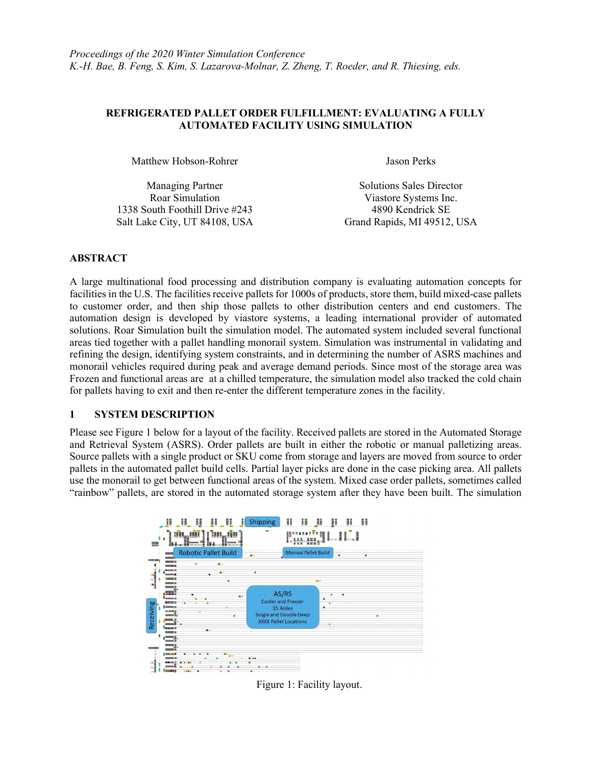### REFRIGERATED PALLET ORDER FULFILLMENT: EVALUATING A FULLY AUTOMATED FACILITY USING SIMULATION

Matthew Hobson-Rohrer Jason Perks

| <b>Managing Partner</b>        | <b>Solutions Sales Director</b> |
|--------------------------------|---------------------------------|
| Roar Simulation                | Viastore Systems Inc.           |
| 1338 South Foothill Drive #243 | 4890 Kendrick SE                |
| Salt Lake City, UT 84108, USA  | Grand Rapids, MI 49512, USA     |

### ABSTRACT

A large multinational food processing and distribution company is evaluating automation concepts for facilities in the U.S. The facilities receive pallets for 1000s of products, store them, build mixed-case pallets to customer order, and then ship those pallets to other distribution centers and end customers. The automation design is developed by viastore systems, a leading international provider of automated solutions. Roar Simulation built the simulation model. The automated system included several functional areas tied together with a pallet handling monorail system. Simulation was instrumental in validating and refining the design, identifying system constraints, and in determining the number of ASRS machines and monorail vehicles required during peak and average demand periods. Since most of the storage area was Frozen and functional areas are at a chilled temperature, the simulation model also tracked the cold chain for pallets having to exit and then re-enter the different temperature zones in the facility.

#### 1 SYSTEM DESCRIPTION

Please see Figure 1 below for a layout of the facility. Received pallets are stored in the Automated Storage and Retrieval System (ASRS). Order pallets are built in either the robotic or manual palletizing areas. Source pallets with a single product or SKU come from storage and layers are moved from source to order pallets in the automated pallet build cells. Partial layer picks are done in the case picking area. All pallets use the monorail to get between functional areas of the system. Mixed case order pallets, sometimes called "rainbow" pallets, are stored in the automated storage system after they have been built. The simulation



Figure 1: Facility layout.